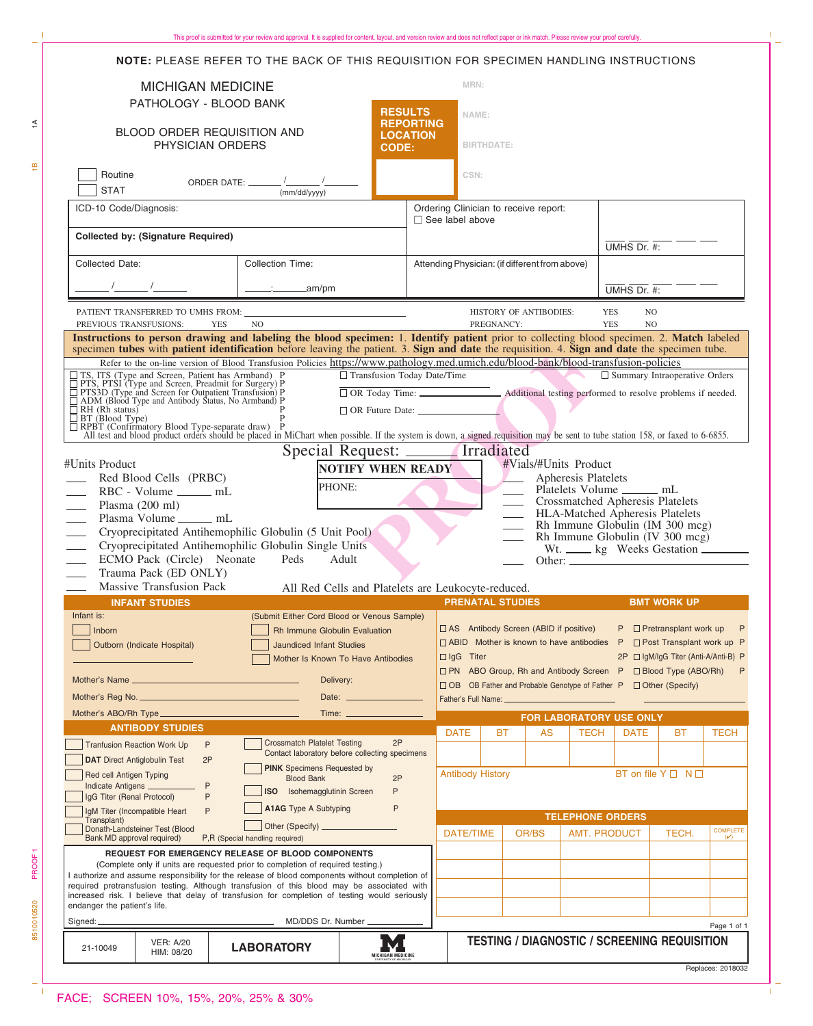| This proof is submitted for your review and approval. It is supplied for content, layout, and version review and does not reflect paper or ink match. Please review your proof carefully. |  |
|-------------------------------------------------------------------------------------------------------------------------------------------------------------------------------------------|--|
|-------------------------------------------------------------------------------------------------------------------------------------------------------------------------------------------|--|

|                                                                                                                                                                                                                                                                                          | <b>NOTE:</b> PLEASE REFER TO THE BACK OF THIS REQUISITION FOR SPECIMEN HANDLING INSTRUCTIONS |                                                                                                                 |                                                                                                                                                             |                                                                                         |                                              |                                                                    |                                                                                       |                                      |             |  |  |
|------------------------------------------------------------------------------------------------------------------------------------------------------------------------------------------------------------------------------------------------------------------------------------------|----------------------------------------------------------------------------------------------|-----------------------------------------------------------------------------------------------------------------|-------------------------------------------------------------------------------------------------------------------------------------------------------------|-----------------------------------------------------------------------------------------|----------------------------------------------|--------------------------------------------------------------------|---------------------------------------------------------------------------------------|--------------------------------------|-------------|--|--|
| <b>MICHIGAN MEDICINE</b><br>PATHOLOGY - BLOOD BANK                                                                                                                                                                                                                                       |                                                                                              |                                                                                                                 |                                                                                                                                                             | MRN:                                                                                    |                                              |                                                                    |                                                                                       |                                      |             |  |  |
| <b>RESULTS</b><br><b>REPORTING</b><br>BLOOD ORDER REQUISITION AND<br><b>LOCATION</b>                                                                                                                                                                                                     |                                                                                              |                                                                                                                 |                                                                                                                                                             | NAME:                                                                                   |                                              |                                                                    |                                                                                       |                                      |             |  |  |
| PHYSICIAN ORDERS<br><b>CODE:</b>                                                                                                                                                                                                                                                         |                                                                                              |                                                                                                                 |                                                                                                                                                             | <b>BIRTHDATE:</b>                                                                       |                                              |                                                                    |                                                                                       |                                      |             |  |  |
| Routine<br>ORDER DATE: $\frac{1}{(mm/dd/yyyy)}$<br><b>STAT</b>                                                                                                                                                                                                                           |                                                                                              |                                                                                                                 |                                                                                                                                                             | CSN:                                                                                    |                                              |                                                                    |                                                                                       |                                      |             |  |  |
| ICD-10 Code/Diagnosis:<br><b>Collected by: (Signature Required)</b>                                                                                                                                                                                                                      |                                                                                              |                                                                                                                 |                                                                                                                                                             | Ordering Clinician to receive report:<br>$\Box$ See label above                         |                                              |                                                                    |                                                                                       |                                      |             |  |  |
|                                                                                                                                                                                                                                                                                          |                                                                                              |                                                                                                                 |                                                                                                                                                             |                                                                                         |                                              |                                                                    | UMHS Dr. #:                                                                           |                                      |             |  |  |
| Collected Date:                                                                                                                                                                                                                                                                          | <b>Collection Time:</b>                                                                      |                                                                                                                 |                                                                                                                                                             | Attending Physician: (if different from above)                                          |                                              |                                                                    |                                                                                       |                                      |             |  |  |
|                                                                                                                                                                                                                                                                                          | $\frac{1}{2}$ am/pm                                                                          |                                                                                                                 |                                                                                                                                                             |                                                                                         |                                              |                                                                    |                                                                                       | UMHS Dr. #:                          |             |  |  |
| HISTORY OF ANTIBODIES:<br>PREVIOUS TRANSFUSIONS:<br>PREGNANCY:<br><b>YES</b><br>N <sub>O</sub>                                                                                                                                                                                           |                                                                                              |                                                                                                                 |                                                                                                                                                             |                                                                                         |                                              |                                                                    | <b>YES</b><br>NO.<br><b>YES</b><br>N <sub>O</sub>                                     |                                      |             |  |  |
| Instructions to person drawing and labeling the blood specimen: 1. Identify patient prior to collecting blood specimen. 2. Match labeled<br>specimen tubes with patient identification before leaving the patient. 3. Sign and date the requisition. 4. Sign and date the specimen tube. |                                                                                              |                                                                                                                 |                                                                                                                                                             |                                                                                         |                                              |                                                                    |                                                                                       |                                      |             |  |  |
| Refer to the on-line version of Blood Transfusion Policies https://www.pathology.med.umich.edu/blood-bank/blood-transfusion-policies                                                                                                                                                     |                                                                                              |                                                                                                                 |                                                                                                                                                             |                                                                                         |                                              |                                                                    |                                                                                       |                                      |             |  |  |
| $\Box$ TS, ITS (Type and Screen, Patient has Armband) P<br>$\Box$ PTS, PTSI (Type and Screen, Preadmit for Surgery) P<br>$\Box$ PTS3D (Type and Screen for Outpatient Transfusion) P<br>$\Box$ ADM (Blood Type and Antibody Status, No Armband                                           |                                                                                              | □ Transfusion Today Date/Time<br>□ OR Today Time: △ Additional testing performed to resolve problems if needed. |                                                                                                                                                             |                                                                                         |                                              |                                                                    |                                                                                       | $\Box$ Summary Intraoperative Orders |             |  |  |
| $\Box$ RH (Rh status)                                                                                                                                                                                                                                                                    |                                                                                              |                                                                                                                 |                                                                                                                                                             |                                                                                         |                                              |                                                                    |                                                                                       |                                      |             |  |  |
| $\Box$ BT (Blood Type)<br>□ RPBT (Confirmatory Blood Type-separate draw) P<br>All test and blood product orders should be placed in MiChart when possible. If the system is down, a signed requisition may be sent to tube station 158, or faxed to 6-6855                               |                                                                                              |                                                                                                                 |                                                                                                                                                             |                                                                                         |                                              |                                                                    |                                                                                       |                                      |             |  |  |
|                                                                                                                                                                                                                                                                                          |                                                                                              | Special Request: _______ Irradiated                                                                             |                                                                                                                                                             |                                                                                         |                                              |                                                                    |                                                                                       |                                      |             |  |  |
| #Units Product                                                                                                                                                                                                                                                                           |                                                                                              | <b>NOTIFY WHEN READY</b>                                                                                        |                                                                                                                                                             |                                                                                         |                                              | #Vials/#Units Product                                              |                                                                                       |                                      |             |  |  |
| Red Blood Cells (PRBC)                                                                                                                                                                                                                                                                   | PHONE:                                                                                       |                                                                                                                 |                                                                                                                                                             |                                                                                         |                                              | Apheresis Platelets<br>Platelets Volume ________ mL                |                                                                                       |                                      |             |  |  |
| RBC - Volume _______ mL<br>Plasma $(200 \text{ ml})$<br>$\overline{\phantom{a}}$                                                                                                                                                                                                         |                                                                                              |                                                                                                                 |                                                                                                                                                             |                                                                                         |                                              | <b>Crossmatched Apheresis Platelets</b>                            |                                                                                       |                                      |             |  |  |
| Plasma Volume _______ mL                                                                                                                                                                                                                                                                 |                                                                                              |                                                                                                                 |                                                                                                                                                             |                                                                                         |                                              | HLA-Matched Apheresis Platelets<br>Rh Immune Globulin (IM 300 mcg) |                                                                                       |                                      |             |  |  |
| Cryoprecipitated Antihemophilic Globulin (5 Unit Pool)<br>$\mathcal{L}_{\mathcal{A}}$                                                                                                                                                                                                    |                                                                                              |                                                                                                                 |                                                                                                                                                             |                                                                                         |                                              | Rh Immune Globulin (IV 300 mcg)                                    |                                                                                       |                                      |             |  |  |
| Cryoprecipitated Antihemophilic Globulin Single Units<br>ECMO Pack (Circle) Neonate Peds                                                                                                                                                                                                 |                                                                                              | Adult                                                                                                           |                                                                                                                                                             |                                                                                         |                                              | Wt. _____ kg Weeks Gestation                                       |                                                                                       |                                      |             |  |  |
| Trauma Pack (ED ONLY)                                                                                                                                                                                                                                                                    |                                                                                              |                                                                                                                 |                                                                                                                                                             |                                                                                         |                                              |                                                                    |                                                                                       |                                      |             |  |  |
| <b>Massive Transfusion Pack</b>                                                                                                                                                                                                                                                          |                                                                                              | All Red Cells and Platelets are Leukocyte-reduced.                                                              |                                                                                                                                                             |                                                                                         |                                              |                                                                    |                                                                                       |                                      |             |  |  |
| <b>INFANT STUDIES</b><br>Infant is:                                                                                                                                                                                                                                                      |                                                                                              |                                                                                                                 | <b>PRENATAL STUDIES</b>                                                                                                                                     |                                                                                         |                                              |                                                                    |                                                                                       | <b>BMT WORK UP</b>                   |             |  |  |
| Inborn                                                                                                                                                                                                                                                                                   | (Submit Either Cord Blood or Venous Sample)<br><b>Rh Immune Globulin Evaluation</b>          |                                                                                                                 |                                                                                                                                                             |                                                                                         | $\Box$ AS Antibody Screen (ABID if positive) |                                                                    |                                                                                       | $P \Box$ Pretransplant work up       | P           |  |  |
| Outborn (Indicate Hospital)                                                                                                                                                                                                                                                              | <b>Jaundiced Infant Studies</b>                                                              |                                                                                                                 |                                                                                                                                                             | $\Box$ ABID Mother is known to have antibodies<br>$\Box$ Post Transplant work up P<br>P |                                              |                                                                    |                                                                                       |                                      |             |  |  |
|                                                                                                                                                                                                                                                                                          |                                                                                              | Mother Is Known To Have Antibodies                                                                              |                                                                                                                                                             | $\Box$ IgG Titer<br>2P □ IqM/IqG Titer (Anti-A/Anti-B) P                                |                                              |                                                                    |                                                                                       |                                      |             |  |  |
|                                                                                                                                                                                                                                                                                          | Delivery:                                                                                    |                                                                                                                 | <b>D PN</b> ABO Group, Rh and Antibody Screen P<br>P<br>$\Box$ Blood Type (ABO/Rh)<br>□ OB OB Father and Probable Genotype of Father P<br>□ Other (Specify) |                                                                                         |                                              |                                                                    |                                                                                       |                                      |             |  |  |
|                                                                                                                                                                                                                                                                                          |                                                                                              |                                                                                                                 |                                                                                                                                                             |                                                                                         |                                              |                                                                    |                                                                                       |                                      |             |  |  |
|                                                                                                                                                                                                                                                                                          |                                                                                              | Time: <u>________________</u>                                                                                   |                                                                                                                                                             |                                                                                         |                                              | FOR LABORATORY USE ONLY                                            |                                                                                       |                                      |             |  |  |
| <b>ANTIBODY STUDIES</b><br>$\mathsf{P}$                                                                                                                                                                                                                                                  | <b>Crossmatch Platelet Testing</b>                                                           | 2P                                                                                                              | <b>DATE</b>                                                                                                                                                 | <b>BT</b>                                                                               | AS                                           | <b>TECH</b>                                                        | <b>DATE</b>                                                                           | BT                                   | <b>TECH</b> |  |  |
| <b>Tranfusion Reaction Work Up</b><br><b>DAT</b> Direct Antiglobulin Test<br>2P                                                                                                                                                                                                          |                                                                                              | Contact laboratory before collecting specimens                                                                  |                                                                                                                                                             |                                                                                         |                                              |                                                                    |                                                                                       |                                      |             |  |  |
| Red cell Antigen Typing                                                                                                                                                                                                                                                                  | <b>PINK</b> Specimens Requested by<br><b>Blood Bank</b>                                      | 2P                                                                                                              | <b>Antibody History</b>                                                                                                                                     |                                                                                         |                                              |                                                                    |                                                                                       | BT on file $Y \Box \neg N \Box$      |             |  |  |
| Indicate Antigens ________<br>P<br>IgG Titer (Renal Protocol)<br>P                                                                                                                                                                                                                       |                                                                                              |                                                                                                                 |                                                                                                                                                             |                                                                                         |                                              |                                                                    |                                                                                       |                                      |             |  |  |
| IgM Titer (Incompatible Heart<br>P                                                                                                                                                                                                                                                       | <b>A1AG</b> Type A Subtyping                                                                 | P                                                                                                               |                                                                                                                                                             |                                                                                         |                                              |                                                                    |                                                                                       |                                      |             |  |  |
| Transplant)<br>Donath-Landsteiner Test (Blood<br>Bank MD approval required)                                                                                                                                                                                                              | P,R (Special handling required)                                                              |                                                                                                                 |                                                                                                                                                             | <b>DATE/TIME</b><br>OR/BS                                                               |                                              |                                                                    | <b>TELEPHONE ORDERS</b><br>COMPLETE<br><b>AMT. PRODUCT</b><br>TECH.<br>$(\checkmark)$ |                                      |             |  |  |
|                                                                                                                                                                                                                                                                                          | <b>REQUEST FOR EMERGENCY RELEASE OF BLOOD COMPONENTS</b>                                     |                                                                                                                 |                                                                                                                                                             |                                                                                         |                                              |                                                                    |                                                                                       |                                      |             |  |  |
| (Complete only if units are requested prior to completion of required testing.)<br>I authorize and assume responsibility for the release of blood components without completion of                                                                                                       |                                                                                              |                                                                                                                 |                                                                                                                                                             |                                                                                         |                                              |                                                                    |                                                                                       |                                      |             |  |  |
| required pretransfusion testing. Although transfusion of this blood may be associated with<br>increased risk. I believe that delay of transfusion for completion of testing would seriously                                                                                              |                                                                                              |                                                                                                                 |                                                                                                                                                             |                                                                                         |                                              |                                                                    |                                                                                       |                                      |             |  |  |
| endanger the patient's life.                                                                                                                                                                                                                                                             |                                                                                              |                                                                                                                 |                                                                                                                                                             |                                                                                         |                                              |                                                                    |                                                                                       |                                      |             |  |  |
| Signed: _                                                                                                                                                                                                                                                                                | MD/DDS Dr. Number_                                                                           |                                                                                                                 |                                                                                                                                                             | Page 1 of 1                                                                             |                                              |                                                                    |                                                                                       |                                      |             |  |  |
| <b>VER: A/20</b><br>21-10049<br>HIM: 08/20                                                                                                                                                                                                                                               | <b>LABORATORY</b>                                                                            | <b>MICHIGAN MEDICINE</b>                                                                                        |                                                                                                                                                             | <b>TESTING / DIAGNOSTIC / SCREENING REQUISITION</b><br>Replaces: 2018032                |                                              |                                                                    |                                                                                       |                                      |             |  |  |

 $\overline{\phantom{a}}$  $\bar{\Gamma}$ 

85100105200 PROOF1<br>85 8510010520

 $\mathbf{I}$ 

PROOF<sub>1</sub>

 $\frac{1}{\pi}$ 

 $\widetilde{\div}$